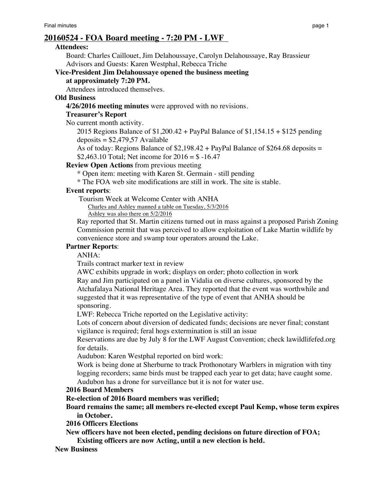# **20160524 - FOA Board meeting - 7:20 PM - LWF**

#### **Attendees:**

Board: Charles Caillouet, Jim Delahoussaye, Carolyn Delahoussaye, Ray Brassieur Advisors and Guests: Karen Westphal, Rebecca Triche

**Vice-President Jim Delahoussaye opened the business meeting at approximately 7:20 PM.**

Attendees introduced themselves.

### **Old Business**

**4/26/2016 meeting minutes** were approved with no revisions.

### **Treasurer's Report**

No current month activity.

2015 Regions Balance of \$1,200.42 + PayPal Balance of \$1,154.15 + \$125 pending  $deposits = $2,479,57$  Available

As of today: Regions Balance of  $$2,198.42 + PayPal Balance of $264.68 deposits =$ \$2,463.10 Total; Net income for  $2016 = $ -16.47$ 

### **Review Open Actions** from previous meeting

\* Open item: meeting with Karen St. Germain - still pending

\* The FOA web site modifications are still in work. The site is stable.

### **Event reports**:

Tourism Week at Welcome Center with ANHA

Charles and Ashley manned a table on Tuesday, 5/3/2016

Ashley was also there on 5/2/2016

Ray reported that St. Martin citizens turned out in mass against a proposed Parish Zoning Commission permit that was perceived to allow exploitation of Lake Martin wildlife by convenience store and swamp tour operators around the Lake.

# **Partner Reports**:

ANHA:

Trails contract marker text in review

AWC exhibits upgrade in work; displays on order; photo collection in work

Ray and Jim participated on a panel in Vidalia on diverse cultures, sponsored by the Atchafalaya National Heritage Area. They reported that the event was worthwhile and suggested that it was representative of the type of event that ANHA should be sponsoring.

LWF: Rebecca Triche reported on the Legislative activity:

Lots of concern about diversion of dedicated funds; decisions are never final; constant vigilance is required; feral hogs extermination is still an issue

Reservations are due by July 8 for the LWF August Convention; check lawildlifefed.org for details.

Audubon: Karen Westphal reported on bird work:

Work is being done at Sherburne to track Prothonotary Warblers in migration with tiny logging recorders; same birds must be trapped each year to get data; have caught some. Audubon has a drone for surveillance but it is not for water use.

#### **2016 Board Members**

# **Re-election of 2016 Board members was verified;**

**Board remains the same; all members re-elected except Paul Kemp, whose term expires in October.**

**2016 Officers Elections**

**New officers have not been elected, pending decisions on future direction of FOA; Existing officers are now Acting, until a new election is held.**

# **New Business**